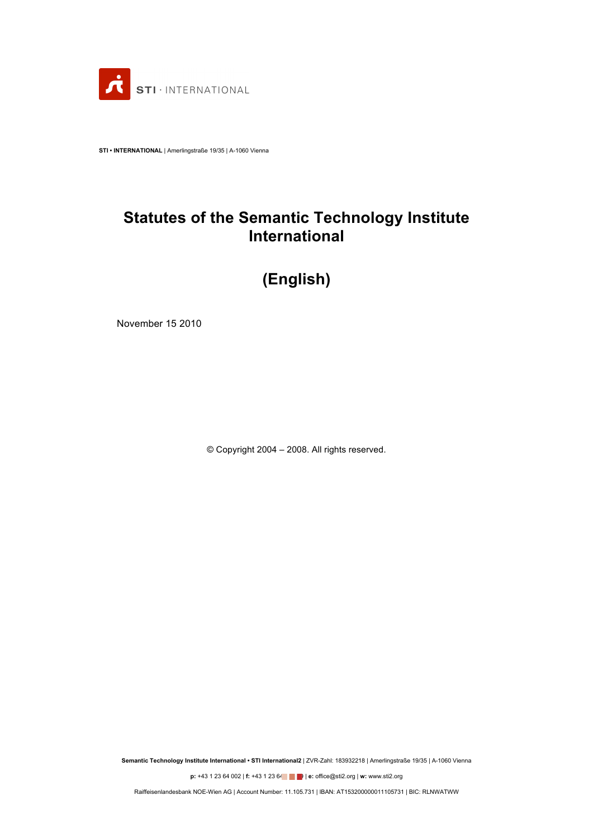

**STI • INTERNATIONAL** | Amerlingstraße 19/35 | A-1060 Vienna

# **Statutes of the Semantic Technology Institute International**

# **(English)**

November 15 2010

© Copyright 2004 – 2008. All rights reserved.

**Semantic Technology Institute International • STI International2** | ZVR-Zahl: 183932218 | Amerlingstraße 19/35 | A-1060 Vienna

**p:** +43 1 23 64 002 | **f:** +43 1 23 64 **e** | **e**: office@sti2.org | **w:** www.sti2.org

Raiffeisenlandesbank NOE-Wien AG | Account Number: 11.105.731 | IBAN: AT153200000011105731 | BIC: RLNWATWW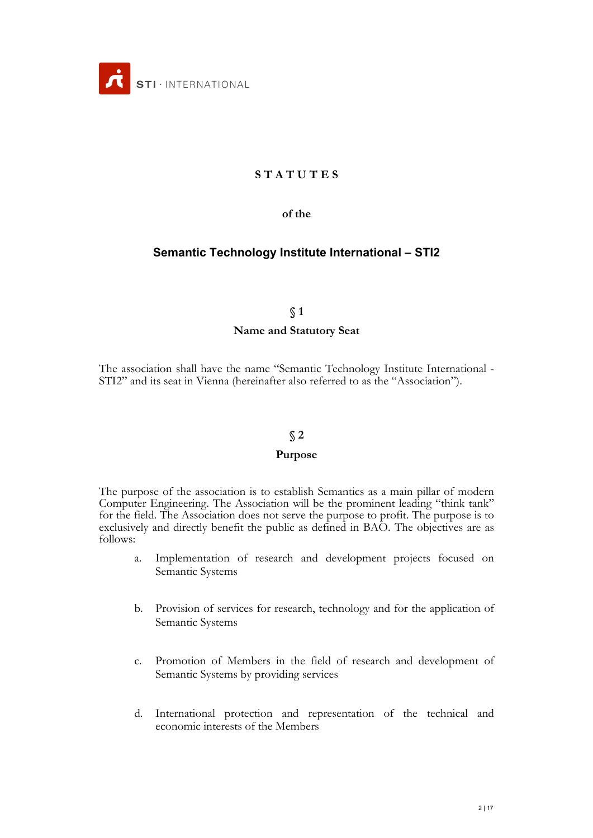

## **S T A T U T E S**

#### **of the**

## **Semantic Technology Institute International – STI2**

#### **§ 1**

#### **Name and Statutory Seat**

The association shall have the name "Semantic Technology Institute International - STI2" and its seat in Vienna (hereinafter also referred to as the "Association").

#### **§ 2**

#### **Purpose**

The purpose of the association is to establish Semantics as a main pillar of modern Computer Engineering. The Association will be the prominent leading "think tank" for the field. The Association does not serve the purpose to profit. The purpose is to exclusively and directly benefit the public as defined in BAO. The objectives are as follows:

- a. Implementation of research and development projects focused on Semantic Systems
- b. Provision of services for research, technology and for the application of Semantic Systems
- c. Promotion of Members in the field of research and development of Semantic Systems by providing services
- d. International protection and representation of the technical and economic interests of the Members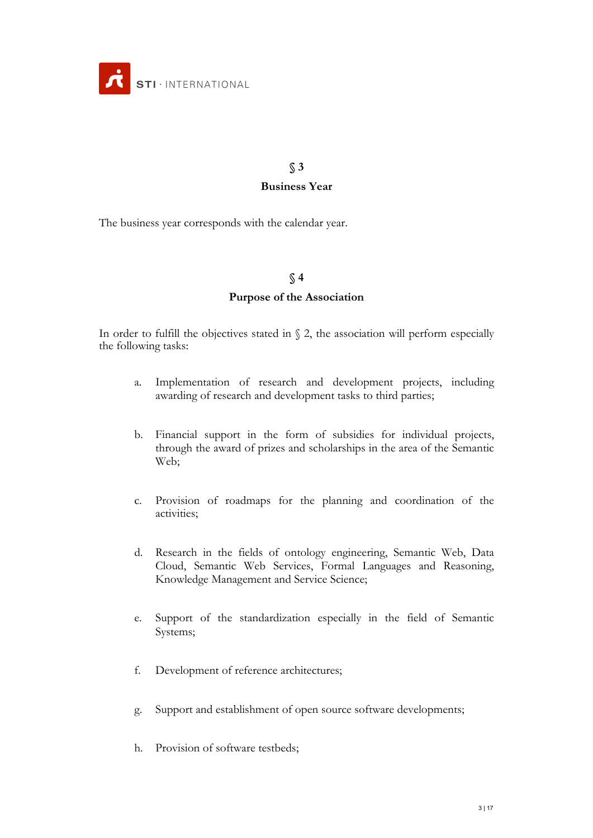

# **§ 3 Business Year**

The business year corresponds with the calendar year.

### **§ 4**

### **Purpose of the Association**

In order to fulfill the objectives stated in  $\S$  2, the association will perform especially the following tasks:

- a. Implementation of research and development projects, including awarding of research and development tasks to third parties;
- b. Financial support in the form of subsidies for individual projects, through the award of prizes and scholarships in the area of the Semantic Web;
- c. Provision of roadmaps for the planning and coordination of the activities;
- d. Research in the fields of ontology engineering, Semantic Web, Data Cloud, Semantic Web Services, Formal Languages and Reasoning, Knowledge Management and Service Science;
- e. Support of the standardization especially in the field of Semantic Systems;
- f. Development of reference architectures;
- g. Support and establishment of open source software developments;
- h. Provision of software testbeds;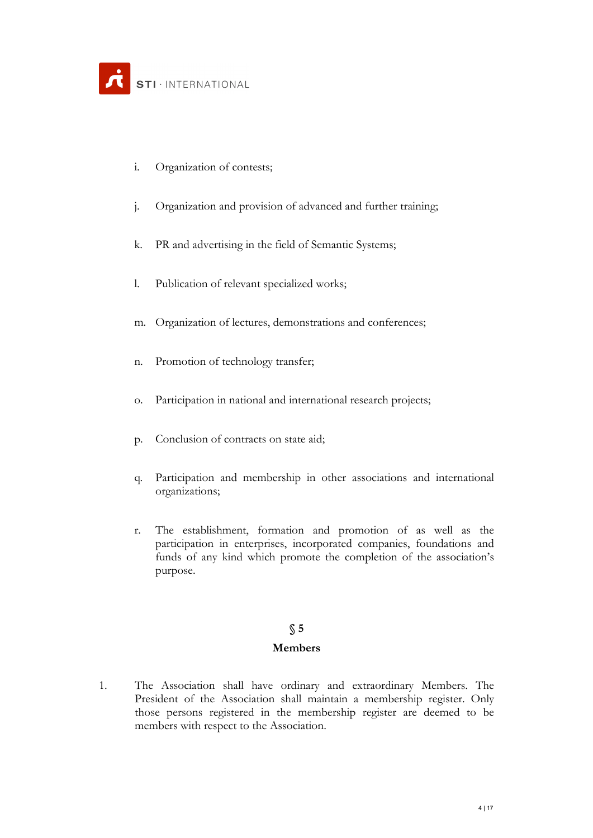- i. Organization of contests;
- j. Organization and provision of advanced and further training;
- k. PR and advertising in the field of Semantic Systems;
- l. Publication of relevant specialized works;
- m. Organization of lectures, demonstrations and conferences;
- n. Promotion of technology transfer;
- o. Participation in national and international research projects;
- p. Conclusion of contracts on state aid;
- q. Participation and membership in other associations and international organizations;
- r. The establishment, formation and promotion of as well as the participation in enterprises, incorporated companies, foundations and funds of any kind which promote the completion of the association's purpose.

#### **Members**

1. The Association shall have ordinary and extraordinary Members. The President of the Association shall maintain a membership register. Only those persons registered in the membership register are deemed to be members with respect to the Association.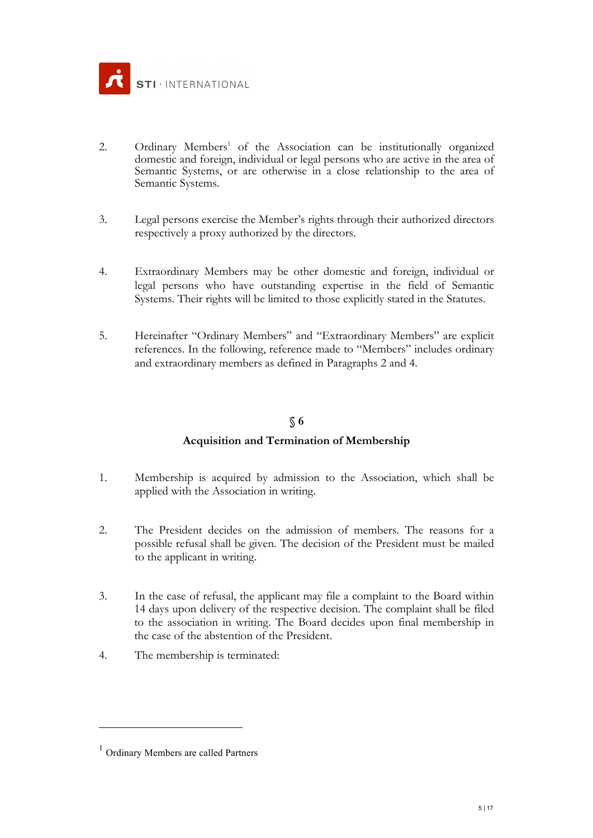

- 2. Ordinary Members<sup>1</sup> of the Association can be institutionally organized domestic and foreign, individual or legal persons who are active in the area of Semantic Systems, or are otherwise in a close relationship to the area of Semantic Systems.
- 3. Legal persons exercise the Member's rights through their authorized directors respectively a proxy authorized by the directors.
- 4. Extraordinary Members may be other domestic and foreign, individual or legal persons who have outstanding expertise in the field of Semantic Systems. Their rights will be limited to those explicitly stated in the Statutes.
- 5. Hereinafter "Ordinary Members" and "Extraordinary Members" are explicit references. In the following, reference made to "Members" includes ordinary and extraordinary members as defined in Paragraphs 2 and 4.

## **Acquisition and Termination of Membership**

- 1. Membership is acquired by admission to the Association, which shall be applied with the Association in writing.
- 2. The President decides on the admission of members. The reasons for a possible refusal shall be given. The decision of the President must be mailed to the applicant in writing.
- 3. In the case of refusal, the applicant may file a complaint to the Board within 14 days upon delivery of the respective decision. The complaint shall be filed to the association in writing. The Board decides upon final membership in the case of the abstention of the President.
- 4. The membership is terminated:

1

<sup>1</sup> Ordinary Members are called Partners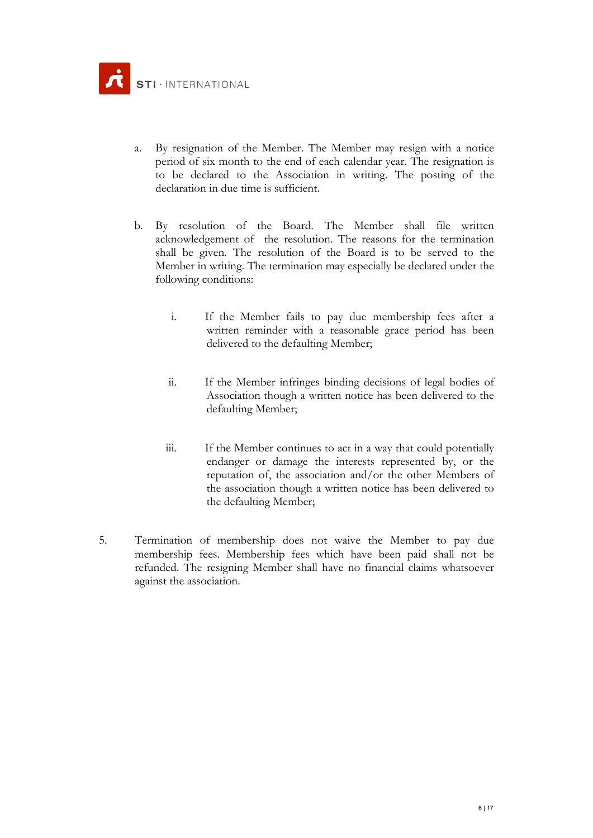- a. By resignation of the Member. The Member may resign with a notice period of six month to the end of each calendar year. The resignation is to be declared to the Association in writing. The posting of the declaration in due time is sufficient.
- b. By resolution of the Board. The Member shall file written acknowledgement of the resolution. The reasons for the termination shall be given. The resolution of the Board is to be served to the Member in writing. The termination may especially be declared under the following conditions:
	- i. If the Member fails to pay due membership fees after a written reminder with a reasonable grace period has been delivered to the defaulting Member;
	- ii. If the Member infringes binding decisions of legal bodies of Association though a written notice has been delivered to the defaulting Member;
	- iii. If the Member continues to act in a way that could potentially endanger or damage the interests represented by, or the reputation of, the association and/or the other Members of the association though a written notice has been delivered to the defaulting Member;
- 5. Termination of membership does not waive the Member to pay due membership fees. Membership fees which have been paid shall not be refunded. The resigning Member shall have no financial claims whatsoever against the association.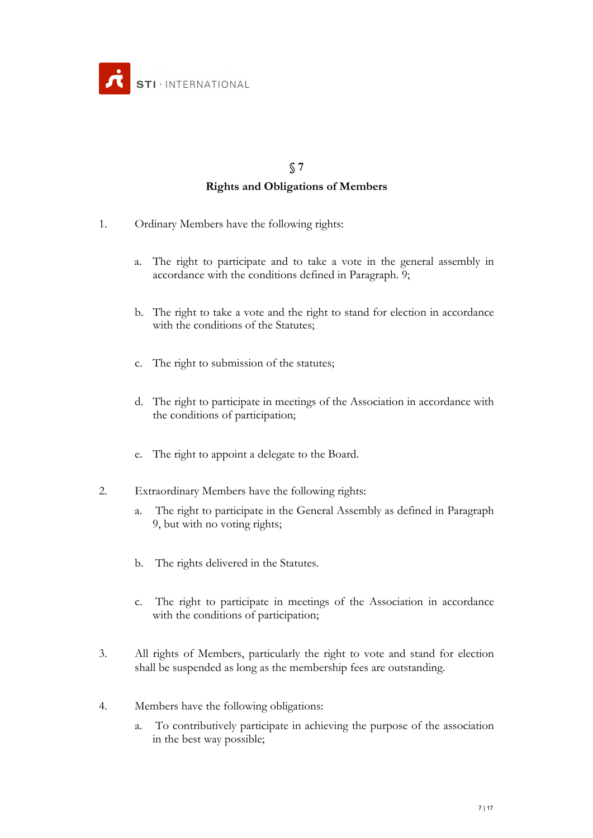

## **Rights and Obligations of Members**

- 1. Ordinary Members have the following rights:
	- a. The right to participate and to take a vote in the general assembly in accordance with the conditions defined in Paragraph. 9;
	- b. The right to take a vote and the right to stand for election in accordance with the conditions of the Statutes;
	- c. The right to submission of the statutes;
	- d. The right to participate in meetings of the Association in accordance with the conditions of participation;
	- e. The right to appoint a delegate to the Board.
- 2. Extraordinary Members have the following rights:
	- a. The right to participate in the General Assembly as defined in Paragraph 9, but with no voting rights;
	- b. The rights delivered in the Statutes.
	- c. The right to participate in meetings of the Association in accordance with the conditions of participation;
- 3. All rights of Members, particularly the right to vote and stand for election shall be suspended as long as the membership fees are outstanding.
- 4. Members have the following obligations:
	- a. To contributively participate in achieving the purpose of the association in the best way possible;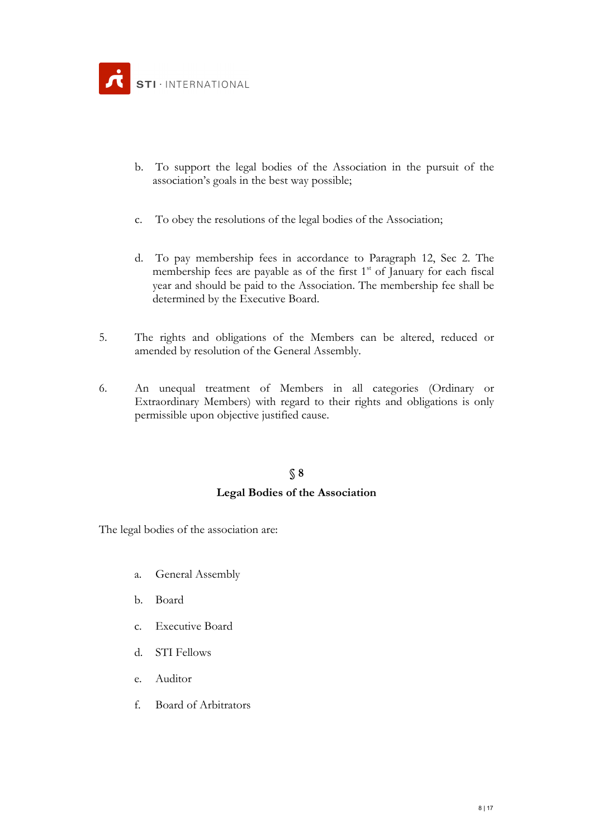- b. To support the legal bodies of the Association in the pursuit of the association's goals in the best way possible;
- c. To obey the resolutions of the legal bodies of the Association;
- d. To pay membership fees in accordance to Paragraph 12, Sec 2. The membership fees are payable as of the first  $1<sup>st</sup>$  of January for each fiscal year and should be paid to the Association. The membership fee shall be determined by the Executive Board.
- 5. The rights and obligations of the Members can be altered, reduced or amended by resolution of the General Assembly.
- 6. An unequal treatment of Members in all categories (Ordinary or Extraordinary Members) with regard to their rights and obligations is only permissible upon objective justified cause.

## **Legal Bodies of the Association**

The legal bodies of the association are:

- a. General Assembly
- b. Board
- c. Executive Board
- d. STI Fellows
- e. Auditor
- f. Board of Arbitrators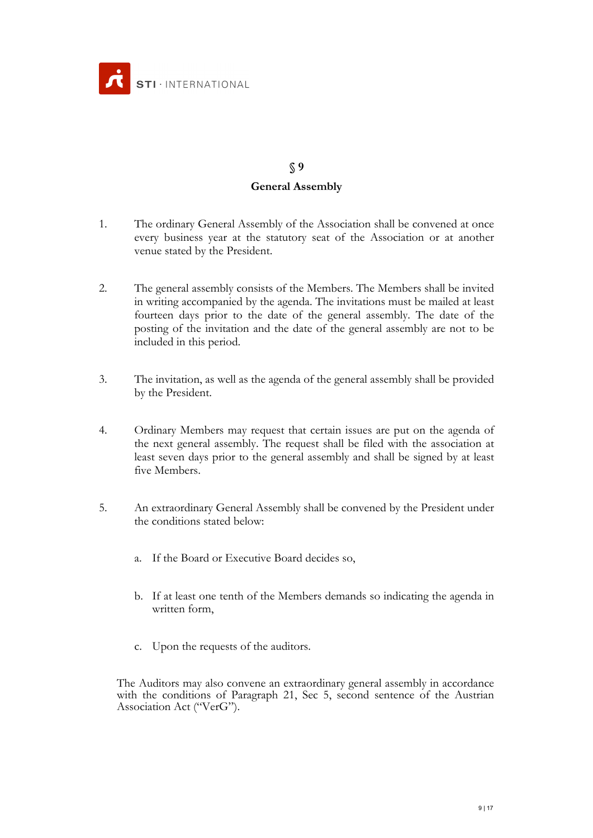

# **§ 9 General Assembly**

- 1. The ordinary General Assembly of the Association shall be convened at once every business year at the statutory seat of the Association or at another venue stated by the President.
- 2. The general assembly consists of the Members. The Members shall be invited in writing accompanied by the agenda. The invitations must be mailed at least fourteen days prior to the date of the general assembly. The date of the posting of the invitation and the date of the general assembly are not to be included in this period.
- 3. The invitation, as well as the agenda of the general assembly shall be provided by the President.
- 4. Ordinary Members may request that certain issues are put on the agenda of the next general assembly. The request shall be filed with the association at least seven days prior to the general assembly and shall be signed by at least five Members.
- 5. An extraordinary General Assembly shall be convened by the President under the conditions stated below:
	- a. If the Board or Executive Board decides so,
	- b. If at least one tenth of the Members demands so indicating the agenda in written form,
	- c. Upon the requests of the auditors.

The Auditors may also convene an extraordinary general assembly in accordance with the conditions of Paragraph 21, Sec 5, second sentence of the Austrian Association Act ("VerG").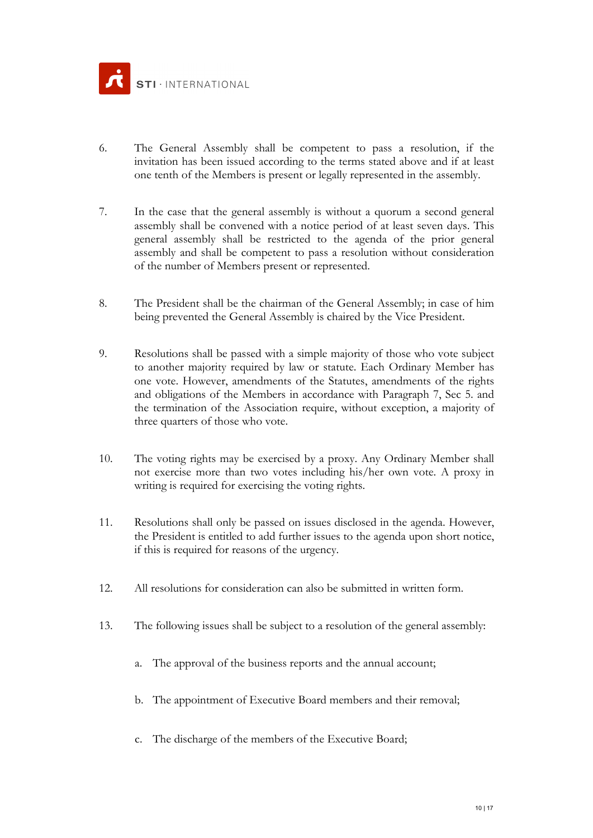

- 6. The General Assembly shall be competent to pass a resolution, if the invitation has been issued according to the terms stated above and if at least one tenth of the Members is present or legally represented in the assembly.
- 7. In the case that the general assembly is without a quorum a second general assembly shall be convened with a notice period of at least seven days. This general assembly shall be restricted to the agenda of the prior general assembly and shall be competent to pass a resolution without consideration of the number of Members present or represented.
- 8. The President shall be the chairman of the General Assembly; in case of him being prevented the General Assembly is chaired by the Vice President.
- 9. Resolutions shall be passed with a simple majority of those who vote subject to another majority required by law or statute. Each Ordinary Member has one vote. However, amendments of the Statutes, amendments of the rights and obligations of the Members in accordance with Paragraph 7, Sec 5. and the termination of the Association require, without exception, a majority of three quarters of those who vote.
- 10. The voting rights may be exercised by a proxy. Any Ordinary Member shall not exercise more than two votes including his/her own vote. A proxy in writing is required for exercising the voting rights.
- 11. Resolutions shall only be passed on issues disclosed in the agenda. However, the President is entitled to add further issues to the agenda upon short notice, if this is required for reasons of the urgency.
- 12. All resolutions for consideration can also be submitted in written form.
- 13. The following issues shall be subject to a resolution of the general assembly:
	- a. The approval of the business reports and the annual account;
	- b. The appointment of Executive Board members and their removal;
	- c. The discharge of the members of the Executive Board;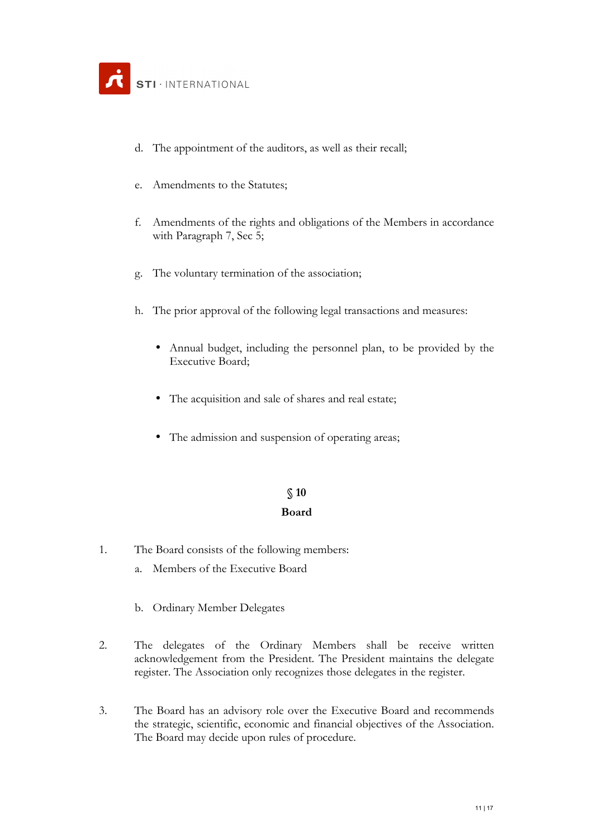- d. The appointment of the auditors, as well as their recall;
- e. Amendments to the Statutes;
- f. Amendments of the rights and obligations of the Members in accordance with Paragraph 7, Sec 5;
- g. The voluntary termination of the association;
- h. The prior approval of the following legal transactions and measures:
	- Annual budget, including the personnel plan, to be provided by the Executive Board;
	- The acquisition and sale of shares and real estate;
	- The admission and suspension of operating areas;

## **§ 10 Board**

- 1. The Board consists of the following members:
	- a. Members of the Executive Board
	- b. Ordinary Member Delegates
- 2. The delegates of the Ordinary Members shall be receive written acknowledgement from the President. The President maintains the delegate register. The Association only recognizes those delegates in the register.
- 3. The Board has an advisory role over the Executive Board and recommends the strategic, scientific, economic and financial objectives of the Association. The Board may decide upon rules of procedure.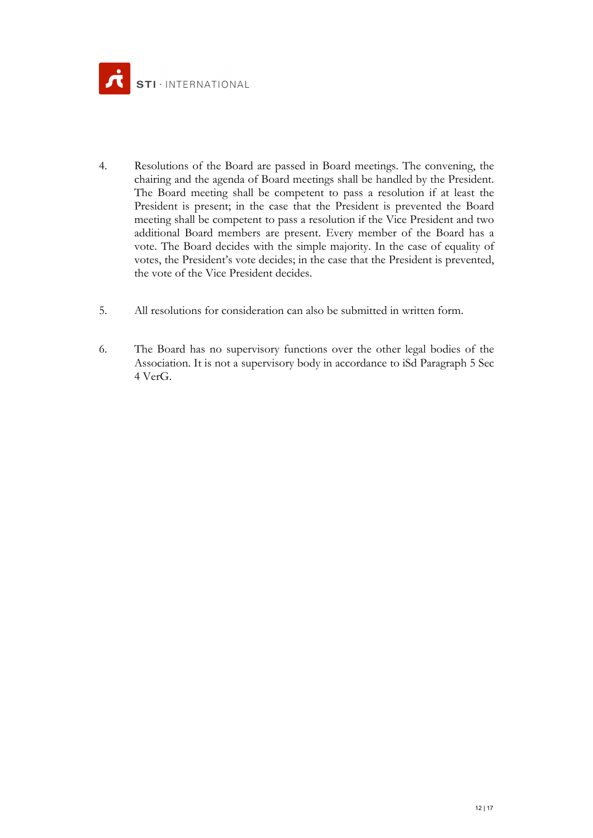

- 4. Resolutions of the Board are passed in Board meetings. The convening, the chairing and the agenda of Board meetings shall be handled by the President. The Board meeting shall be competent to pass a resolution if at least the President is present; in the case that the President is prevented the Board meeting shall be competent to pass a resolution if the Vice President and two additional Board members are present. Every member of the Board has a vote. The Board decides with the simple majority. In the case of equality of votes, the President's vote decides; in the case that the President is prevented, the vote of the Vice President decides.
- 5. All resolutions for consideration can also be submitted in written form.
- 6. The Board has no supervisory functions over the other legal bodies of the Association. It is not a supervisory body in accordance to iSd Paragraph 5 Sec 4 VerG.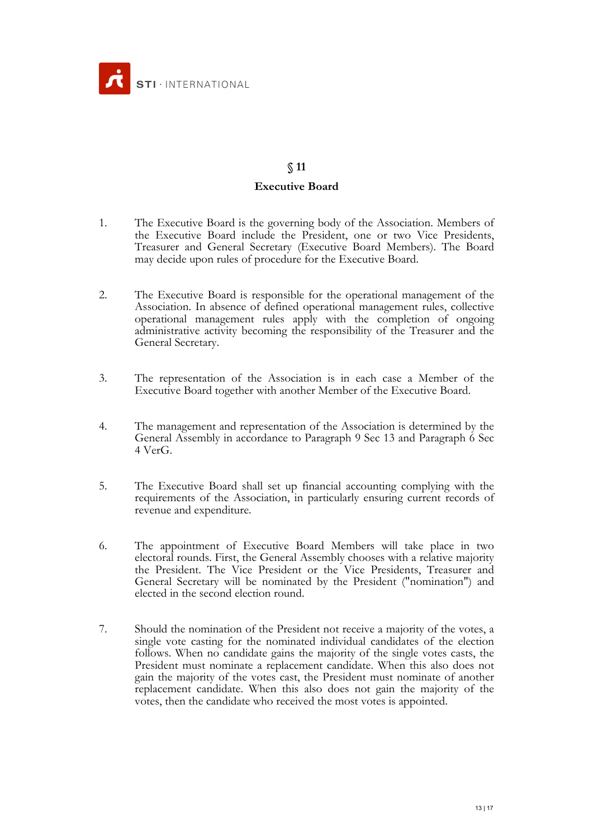

# **§ 11 Executive Board**

- 1. The Executive Board is the governing body of the Association. Members of the Executive Board include the President, one or two Vice Presidents, Treasurer and General Secretary (Executive Board Members). The Board may decide upon rules of procedure for the Executive Board.
- 2. The Executive Board is responsible for the operational management of the Association. In absence of defined operational management rules, collective operational management rules apply with the completion of ongoing administrative activity becoming the responsibility of the Treasurer and the General Secretary.
- 3. The representation of the Association is in each case a Member of the Executive Board together with another Member of the Executive Board.
- 4. The management and representation of the Association is determined by the General Assembly in accordance to Paragraph 9 Sec 13 and Paragraph 6 Sec 4 VerG.
- 5. The Executive Board shall set up financial accounting complying with the requirements of the Association, in particularly ensuring current records of revenue and expenditure.
- 6. The appointment of Executive Board Members will take place in two electoral rounds. First, the General Assembly chooses with a relative majority the President. The Vice President or the Vice Presidents, Treasurer and General Secretary will be nominated by the President ("nomination") and elected in the second election round.
- 7. Should the nomination of the President not receive a majority of the votes, a single vote casting for the nominated individual candidates of the election follows. When no candidate gains the majority of the single votes casts, the President must nominate a replacement candidate. When this also does not gain the majority of the votes cast, the President must nominate of another replacement candidate. When this also does not gain the majority of the votes, then the candidate who received the most votes is appointed.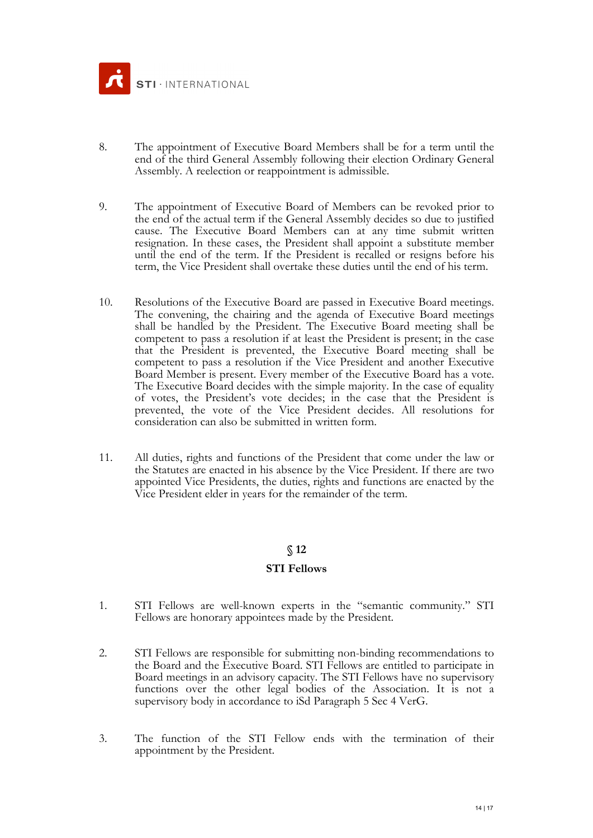

- 8. The appointment of Executive Board Members shall be for a term until the end of the third General Assembly following their election Ordinary General Assembly. A reelection or reappointment is admissible.
- 9. The appointment of Executive Board of Members can be revoked prior to the end of the actual term if the General Assembly decides so due to justified cause. The Executive Board Members can at any time submit written resignation. In these cases, the President shall appoint a substitute member until the end of the term. If the President is recalled or resigns before his term, the Vice President shall overtake these duties until the end of his term.
- 10. Resolutions of the Executive Board are passed in Executive Board meetings. The convening, the chairing and the agenda of Executive Board meetings shall be handled by the President. The Executive Board meeting shall be competent to pass a resolution if at least the President is present; in the case that the President is prevented, the Executive Board meeting shall be competent to pass a resolution if the Vice President and another Executive Board Member is present. Every member of the Executive Board has a vote. The Executive Board decides with the simple majority. In the case of equality of votes, the President's vote decides; in the case that the President is prevented, the vote of the Vice President decides. All resolutions for consideration can also be submitted in written form.
- 11. All duties, rights and functions of the President that come under the law or the Statutes are enacted in his absence by the Vice President. If there are two appointed Vice Presidents, the duties, rights and functions are enacted by the Vice President elder in years for the remainder of the term.

#### **STI Fellows**

- 1. STI Fellows are well-known experts in the "semantic community." STI Fellows are honorary appointees made by the President.
- 2. STI Fellows are responsible for submitting non-binding recommendations to the Board and the Executive Board. STI Fellows are entitled to participate in Board meetings in an advisory capacity. The STI Fellows have no supervisory functions over the other legal bodies of the Association. It is not a supervisory body in accordance to iSd Paragraph 5 Sec 4 VerG.
- 3. The function of the STI Fellow ends with the termination of their appointment by the President.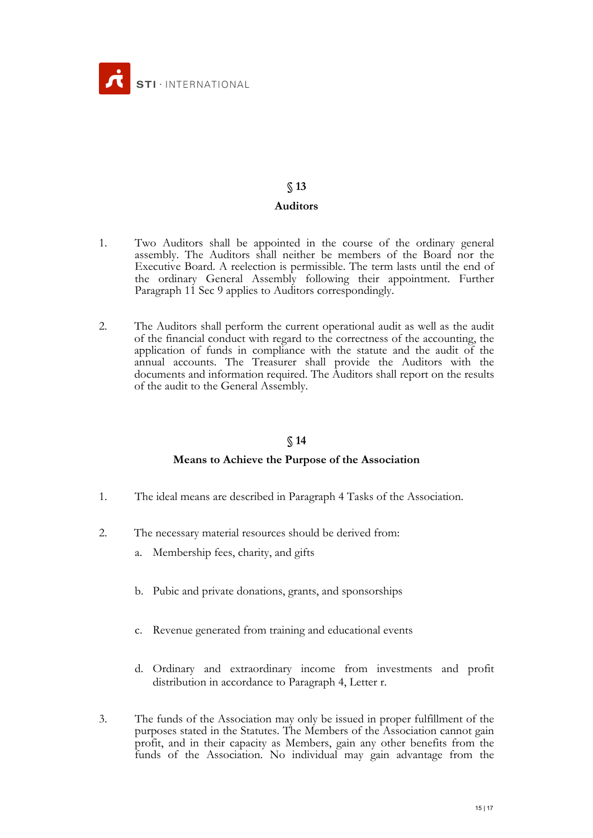

#### **Auditors**

- 1. Two Auditors shall be appointed in the course of the ordinary general assembly. The Auditors shall neither be members of the Board nor the Executive Board. A reelection is permissible. The term lasts until the end of the ordinary General Assembly following their appointment. Further Paragraph 11 Sec 9 applies to Auditors correspondingly.
- 2. The Auditors shall perform the current operational audit as well as the audit of the financial conduct with regard to the correctness of the accounting, the application of funds in compliance with the statute and the audit of the appreasion of the all compared the Auditors with the documents and information required. The Auditors shall report on the results of the audit to the General Assembly.

## **§ 14**

## **Means to Achieve the Purpose of the Association**

- 1. The ideal means are described in Paragraph 4 Tasks of the Association.
- 2. The necessary material resources should be derived from:
	- a. Membership fees, charity, and gifts
	- b. Pubic and private donations, grants, and sponsorships
	- c. Revenue generated from training and educational events
	- d. Ordinary and extraordinary income from investments and profit distribution in accordance to Paragraph 4, Letter r.
- 3. The funds of the Association may only be issued in proper fulfillment of the purposes stated in the Statutes. The Members of the Association cannot gain profit, and in their capacity as Members, gain any other benefits from the funds of the Association. No individual may gain advantage from the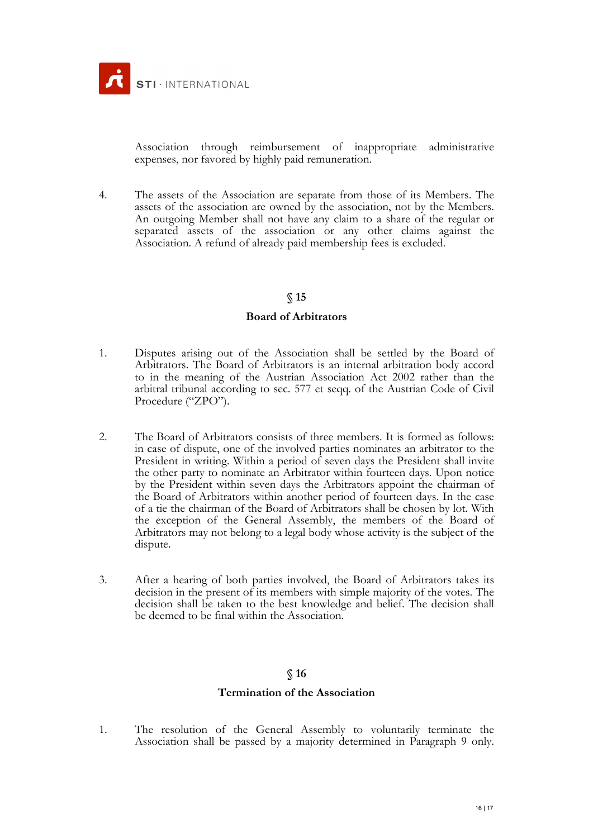

Association through reimbursement of inappropriate administrative expenses, nor favored by highly paid remuneration.

4. The assets of the Association are separate from those of its Members. The assets of the association are owned by the association, not by the Members. An outgoing Member shall not have any claim to a share of the regular or separated assets of the association or any other claims against the Association. A refund of already paid membership fees is excluded.

#### **§ 15**

#### **Board of Arbitrators**

- 1. Disputes arising out of the Association shall be settled by the Board of Arbitrators. The Board of Arbitrators is an internal arbitration body accord to in the meaning of the Austrian Association Act 2002 rather than the arbitral tribunal according to sec. 577 et seqq. of the Austrian Code of Civil Procedure ("ZPO").
- 2. The Board of Arbitrators consists of three members. It is formed as follows: in case of dispute, one of the involved parties nominates an arbitrator to the President in writing. Within a period of seven days the President shall invite the other party to nominate an Arbitrator within fourteen days. Upon notice by the President within seven days the Arbitrators appoint the chairman of the Board of Arbitrators within another period of fourteen days. In the case of a tie the chairman of the Board of Arbitrators shall be chosen by lot. With the exception of the General Assembly, the members of the Board of Arbitrators may not belong to a legal body whose activity is the subject of the dispute.
- 3. After a hearing of both parties involved, the Board of Arbitrators takes its decision in the present of its members with simple majority of the votes. The decision shall be taken to the best knowledge and belief. The decision shall be deemed to be final within the Association.

### **§ 16**

#### **Termination of the Association**

1. The resolution of the General Assembly to voluntarily terminate the Association shall be passed by a majority determined in Paragraph 9 only.